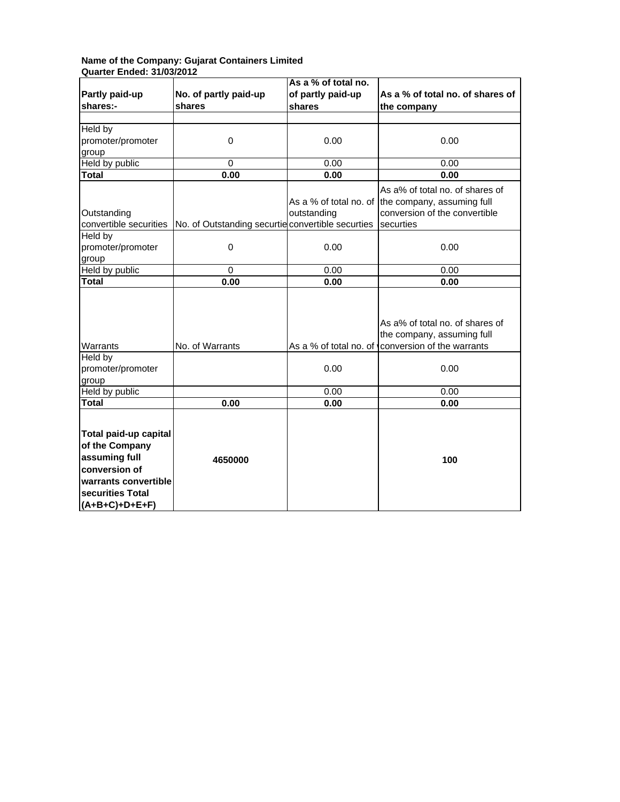## **Name of the Company: Gujarat Containers Limited Quarter Ended: 31/03/2012**

|                                                                                                                                           |                                                   | As a % of total no.    |                                                               |
|-------------------------------------------------------------------------------------------------------------------------------------------|---------------------------------------------------|------------------------|---------------------------------------------------------------|
| Partly paid-up                                                                                                                            | No. of partly paid-up                             | of partly paid-up      | As a % of total no. of shares of                              |
| shares:-                                                                                                                                  | shares                                            | shares                 | the company                                                   |
|                                                                                                                                           |                                                   |                        |                                                               |
| Held by                                                                                                                                   |                                                   |                        |                                                               |
| promoter/promoter                                                                                                                         | $\mathbf 0$                                       | 0.00                   | 0.00                                                          |
| group                                                                                                                                     |                                                   |                        |                                                               |
| Held by public                                                                                                                            | $\Omega$                                          | 0.00                   | 0.00                                                          |
| <b>Total</b>                                                                                                                              | 0.00                                              | 0.00                   | 0.00                                                          |
|                                                                                                                                           |                                                   |                        | As a% of total no. of shares of                               |
|                                                                                                                                           |                                                   | As a % of total no. of | the company, assuming full                                    |
| Outstanding                                                                                                                               |                                                   | outstanding            | conversion of the convertible                                 |
| convertible securities                                                                                                                    | No. of Outstanding securtie convertible securties |                        | securties                                                     |
| Held by                                                                                                                                   |                                                   |                        |                                                               |
| promoter/promoter                                                                                                                         | $\mathbf 0$                                       | 0.00                   | 0.00                                                          |
| group                                                                                                                                     |                                                   |                        |                                                               |
| Held by public                                                                                                                            | $\pmb{0}$                                         | 0.00                   | 0.00                                                          |
| Total                                                                                                                                     | 0.00                                              | 0.00                   | 0.00                                                          |
|                                                                                                                                           |                                                   |                        | As a% of total no. of shares of<br>the company, assuming full |
| Warrants                                                                                                                                  | No. of Warrants                                   | As a % of total no. of | conversion of the warrants                                    |
| Held by<br>promoter/promoter                                                                                                              |                                                   | 0.00                   | 0.00                                                          |
| group                                                                                                                                     |                                                   |                        |                                                               |
| Held by public                                                                                                                            |                                                   | 0.00                   | 0.00                                                          |
| Total                                                                                                                                     | 0.00                                              | 0.00                   | 0.00                                                          |
|                                                                                                                                           |                                                   |                        |                                                               |
| Total paid-up capital<br>of the Company<br>assuming full<br>conversion of<br>warrants convertible<br>securities Total<br>$(A+B+C)+D+E+F)$ | 4650000                                           |                        | 100                                                           |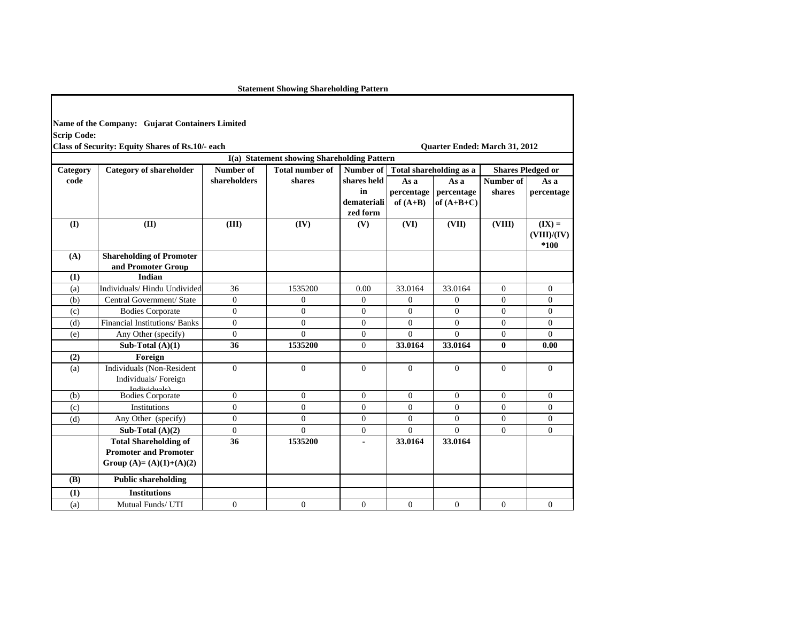**Statement Showing Shareholding Pattern**

|                    | Name of the Company: Gujarat Containers Limited |
|--------------------|-------------------------------------------------|
| <b>Scrip Code:</b> |                                                 |

| <b>Class of Security: Equity Shares of Rs.10/- each</b> |  |  |  |  |  |
|---------------------------------------------------------|--|--|--|--|--|
|---------------------------------------------------------|--|--|--|--|--|

**Class of Security: Equity Shares of Rs.10/- each Quarter Ended: March 31, 2012**

|          |                                 |                  |                        |                  |              | I(a) Statement showing Shareholding Pattern |                |                          |  |  |  |  |  |  |  |
|----------|---------------------------------|------------------|------------------------|------------------|--------------|---------------------------------------------|----------------|--------------------------|--|--|--|--|--|--|--|
| Category | <b>Category of shareholder</b>  | <b>Number of</b> | <b>Total number of</b> | Number of        |              | Total shareholding as a                     |                | <b>Shares Pledged or</b> |  |  |  |  |  |  |  |
| code     |                                 | shareholders     | shares                 | shares held      | As a         | As a                                        | Number of      | As a                     |  |  |  |  |  |  |  |
|          |                                 |                  |                        | in               | percentage   | percentage                                  | shares         | percentage               |  |  |  |  |  |  |  |
|          |                                 |                  |                        | demateriali      | of $(A+B)$   | of $(A+B+C)$                                |                |                          |  |  |  |  |  |  |  |
|          |                                 |                  |                        | zed form         |              |                                             |                |                          |  |  |  |  |  |  |  |
| (I)      | (II)                            | (III)            | (IV)                   | (V)              | (VI)         | (VII)                                       | (VIII)         | $(IX) =$                 |  |  |  |  |  |  |  |
|          |                                 |                  |                        |                  |              |                                             |                | (VIII)/(IV)              |  |  |  |  |  |  |  |
|          |                                 |                  |                        |                  |              |                                             |                | $*100$                   |  |  |  |  |  |  |  |
| (A)      | <b>Shareholding of Promoter</b> |                  |                        |                  |              |                                             |                |                          |  |  |  |  |  |  |  |
|          | and Promoter Group              |                  |                        |                  |              |                                             |                |                          |  |  |  |  |  |  |  |
| (1)      | Indian                          |                  |                        |                  |              |                                             |                |                          |  |  |  |  |  |  |  |
| (a)      | Individuals/Hindu Undivided     | 36               | 1535200                | 0.00             | 33.0164      | 33.0164                                     | $\overline{0}$ | $\mathbf{0}$             |  |  |  |  |  |  |  |
| (b)      | Central Government/ State       | $\mathbf{0}$     | $\overline{0}$         | $\overline{0}$   | $\mathbf{0}$ | $\mathbf{0}$                                | $\overline{0}$ | $\mathbf{0}$             |  |  |  |  |  |  |  |
| (c)      | <b>Bodies Corporate</b>         | $\mathbf{0}$     | $\overline{0}$         | $\Omega$         | $\mathbf{0}$ | $\mathbf{0}$                                | $\mathbf{0}$   | $\boldsymbol{0}$         |  |  |  |  |  |  |  |
| (d)      | Financial Institutions/Banks    | $\mathbf{0}$     | $\Omega$               | $\theta$         | $\theta$     | $\Omega$                                    | $\theta$       | $\overline{0}$           |  |  |  |  |  |  |  |
| (e)      | Any Other (specify)             | $\mathbf{0}$     | $\Omega$               | $\overline{0}$   | $\mathbf{0}$ | $\mathbf{0}$                                | $\overline{0}$ | $\overline{0}$           |  |  |  |  |  |  |  |
|          | Sub-Total $(A)(1)$              | 36               | 1535200                | $\overline{0}$   | 33.0164      | 33.0164                                     | $\bf{0}$       | 0.00                     |  |  |  |  |  |  |  |
| (2)      | Foreign                         |                  |                        |                  |              |                                             |                |                          |  |  |  |  |  |  |  |
| (a)      | Individuals (Non-Resident       | $\mathbf{0}$     | $\overline{0}$         | $\Omega$         | $\mathbf{0}$ | $\mathbf{0}$                                | $\overline{0}$ | $\mathbf{0}$             |  |  |  |  |  |  |  |
|          | Individuals/Foreign             |                  |                        |                  |              |                                             |                |                          |  |  |  |  |  |  |  |
| (b)      | لملمساء نسلمي                   | $\mathbf{0}$     | $\overline{0}$         | $\Omega$         | $\Omega$     | $\mathbf{0}$                                | $\Omega$       | $\boldsymbol{0}$         |  |  |  |  |  |  |  |
|          | <b>Bodies Corporate</b>         |                  |                        |                  |              |                                             |                |                          |  |  |  |  |  |  |  |
| (c)      | Institutions                    | $\mathbf{0}$     | $\overline{0}$         | $\mathbf{0}$     | $\mathbf{0}$ | $\mathbf{0}$                                | $\overline{0}$ | $\boldsymbol{0}$         |  |  |  |  |  |  |  |
| (d)      | Any Other (specify)             | $\mathbf{0}$     | $\overline{0}$         | $\Omega$         | $\theta$     | $\Omega$                                    | $\theta$       | $\overline{0}$           |  |  |  |  |  |  |  |
|          | Sub-Total $(A)(2)$              | $\mathbf{0}$     | $\Omega$               | $\boldsymbol{0}$ | $\Omega$     | $\mathbf{0}$                                | $\mathbf{0}$   | $\boldsymbol{0}$         |  |  |  |  |  |  |  |
|          | <b>Total Shareholding of</b>    | 36               | 1535200                | $\overline{a}$   | 33.0164      | 33.0164                                     |                |                          |  |  |  |  |  |  |  |
|          | <b>Promoter and Promoter</b>    |                  |                        |                  |              |                                             |                |                          |  |  |  |  |  |  |  |
|          | Group $(A)=(A)(1)+(A)(2)$       |                  |                        |                  |              |                                             |                |                          |  |  |  |  |  |  |  |
| (B)      | <b>Public shareholding</b>      |                  |                        |                  |              |                                             |                |                          |  |  |  |  |  |  |  |
| (1)      | <b>Institutions</b>             |                  |                        |                  |              |                                             |                |                          |  |  |  |  |  |  |  |
| (a)      | Mutual Funds/ UTI               | $\mathbf{0}$     | $\overline{0}$         | $\mathbf{0}$     | $\mathbf{0}$ | $\mathbf{0}$                                | $\mathbf{0}$   | $\mathbf{0}$             |  |  |  |  |  |  |  |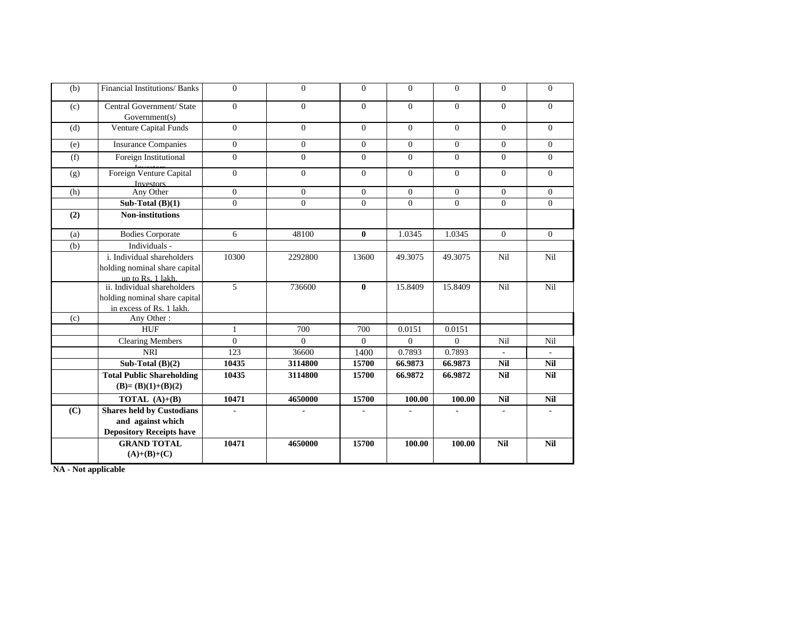| (b) | <b>Financial Institutions/Banks</b>                                                      | $\mathbf{0}$   | $\Omega$       | $\Omega$     | $\Omega$       | $\mathbf{0}$ | $\Omega$   | $\Omega$     |
|-----|------------------------------------------------------------------------------------------|----------------|----------------|--------------|----------------|--------------|------------|--------------|
| (c) | Central Government/ State<br>Government(s)                                               | $\overline{0}$ | $\overline{0}$ | $\Omega$     | $\Omega$       | $\mathbf{0}$ | $\Omega$   | $\Omega$     |
| (d) | Venture Capital Funds                                                                    | $\Omega$       | $\Omega$       | $\Omega$     | $\Omega$       | $\Omega$     | $\Omega$   | $\theta$     |
| (e) | <b>Insurance Companies</b>                                                               | $\mathbf{0}$   | $\overline{0}$ | $\Omega$     | $\overline{0}$ | $\mathbf{0}$ | $\Omega$   | $\mathbf{0}$ |
| (f) | Foreign Institutional                                                                    | $\overline{0}$ | $\Omega$       | $\Omega$     | $\Omega$       | $\Omega$     | $\Omega$   | $\Omega$     |
| (g) | Foreign Venture Capital<br><b>Investors</b>                                              | $\overline{0}$ | $\Omega$       | $\Omega$     | $\Omega$       | $\mathbf{0}$ | $\Omega$   | $\Omega$     |
| (h) | Any Other                                                                                | $\overline{0}$ | $\overline{0}$ | $\Omega$     | $\Omega$       | $\mathbf{0}$ | $\Omega$   | $\Omega$     |
|     | Sub-Total $(B)(1)$                                                                       | $\overline{0}$ | $\Omega$       | $\Omega$     | $\Omega$       | $\Omega$     | $\Omega$   | $\Omega$     |
| (2) | <b>Non-institutions</b>                                                                  |                |                |              |                |              |            |              |
| (a) | <b>Bodies Corporate</b>                                                                  | 6              | 48100          | $\mathbf{0}$ | 1.0345         | 1.0345       | $\Omega$   | $\Omega$     |
| (b) | Individuals -                                                                            |                |                |              |                |              |            |              |
|     | i. Individual shareholders<br>holding nominal share capital<br>up to Rs. 1 lakh.         | 10300          | 2292800        | 13600        | 49.3075        | 49.3075      | Nil        | Nil          |
|     | ii. Individual shareholders<br>holding nominal share capital<br>in excess of Rs. 1 lakh. | 5              | 736600         | $\mathbf{0}$ | 15.8409        | 15.8409      | Nil        | Nil          |
| (c) | Any Other:                                                                               |                |                |              |                |              |            |              |
|     | <b>HUF</b>                                                                               | $\mathbf{1}$   | 700            | 700          | 0.0151         | 0.0151       |            |              |
|     | <b>Clearing Members</b>                                                                  | $\Omega$       | $\Omega$       | $\Omega$     | $\Omega$       | $\Omega$     | Nil        | Nil          |
|     | <b>NRI</b>                                                                               | 123            | 36600          | 1400         | 0.7893         | 0.7893       |            |              |
|     | Sub-Total $(B)(2)$                                                                       | 10435          | 3114800        | 15700        | 66.9873        | 66.9873      | <b>Nil</b> | <b>Nil</b>   |
|     | <b>Total Public Shareholding</b><br>$(B)=(B)(1)+(B)(2)$                                  | 10435          | 3114800        | 15700        | 66.9872        | 66.9872      | <b>Nil</b> | <b>Nil</b>   |
|     | <b>TOTAL</b> $(A)+(B)$                                                                   | 10471          | 4650000        | 15700        | 100.00         | 100.00       | <b>Nil</b> | <b>Nil</b>   |
| (C) | <b>Shares held by Custodians</b><br>and against which<br><b>Depository Receipts have</b> |                |                |              |                |              |            |              |
|     | <b>GRAND TOTAL</b><br>$(A)+(B)+(C)$                                                      | 10471          | 4650000        | 15700        | 100.00         | 100.00       | <b>Nil</b> | Nil          |

**NA - Not applicable**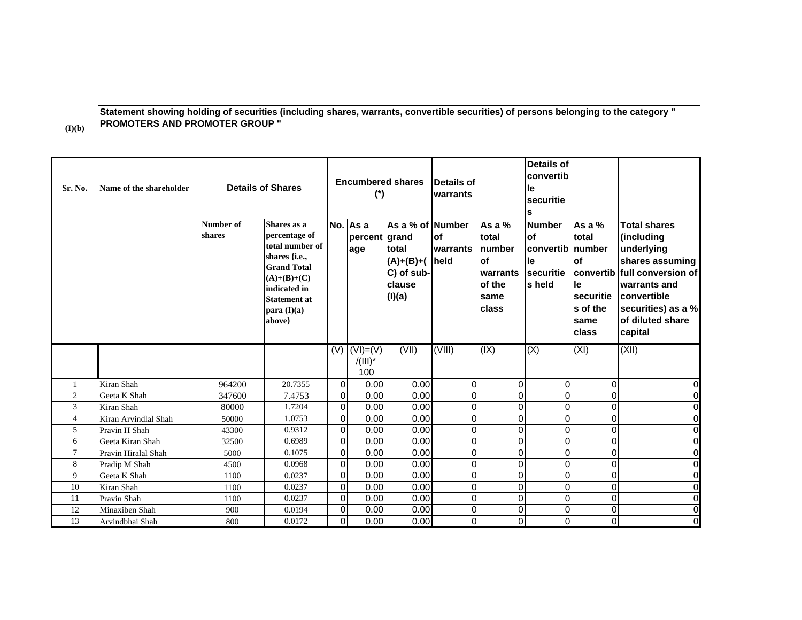## **Statement showing holding of securities (including shares, warrants, convertible securities) of persons belonging to the category " PROMOTERS AND PROMOTER GROUP "**

**(I)(b)**

| Sr. No.        | Name of the shareholder           |                     | <b>Details of Shares</b>                                                                                                                                                  |                         | <b>Encumbered shares</b><br>$(*)$        |                                                                              | Details of<br>lwarrants       |                                                                         | Details of<br>convertib<br>le<br>securitie<br>s                      |                                                                                               |                                                                                                                                                                              |
|----------------|-----------------------------------|---------------------|---------------------------------------------------------------------------------------------------------------------------------------------------------------------------|-------------------------|------------------------------------------|------------------------------------------------------------------------------|-------------------------------|-------------------------------------------------------------------------|----------------------------------------------------------------------|-----------------------------------------------------------------------------------------------|------------------------------------------------------------------------------------------------------------------------------------------------------------------------------|
|                |                                   | Number of<br>shares | Shares as a<br>percentage of<br>total number of<br>shares {i.e.,<br><b>Grand Total</b><br>$(A)+(B)+(C)$<br>indicated in<br><b>Statement at</b><br>para $(I)(a)$<br>above} |                         | No. As a<br>percent grand<br>age         | As a % of Number<br>total<br>$(A)+(B)+(A)$<br>C) of sub-<br>clause<br>(I)(a) | <b>of</b><br>warrants<br>held | As a %<br>total<br>number<br>lof<br>warrants<br>of the<br>same<br>class | <b>Number</b><br><b>of</b><br>convertib<br>le<br>securitie<br>s held | As a %<br>total<br>Inumber<br>of<br>convertib<br>le<br>securitie<br>s of the<br>same<br>class | <b>Total shares</b><br>(including<br>underlying<br>shares assuming<br>full conversion of<br>warrants and<br>convertible<br>securities) as a %<br>of diluted share<br>capital |
|                |                                   |                     |                                                                                                                                                                           |                         | $(V)$ $(VI) = (V)$<br>$/ (III)^*$<br>100 | (VII)                                                                        | (VIII)                        | (X)                                                                     | (X)                                                                  | (XI)                                                                                          | (XII)                                                                                                                                                                        |
| 1              | Kiran Shah                        | 964200              | 20.7355                                                                                                                                                                   | $\Omega$                | 0.00                                     | 0.00                                                                         | $\Omega$                      | $\overline{0}$                                                          | $\Omega$                                                             | $\Omega$                                                                                      | 0                                                                                                                                                                            |
| $\overline{c}$ | Geeta K Shah                      | 347600              | 7.4753                                                                                                                                                                    | $\mathbf 0$             | 0.00                                     | 0.00                                                                         | $\mathbf 0$                   | 0                                                                       | $\Omega$                                                             | $\mathbf{0}$                                                                                  | O                                                                                                                                                                            |
| 3              | Kiran Shah                        | 80000               | 1.7204                                                                                                                                                                    | $\Omega$                | 0.00                                     | 0.00                                                                         | $\Omega$                      | 0                                                                       | $\Omega$                                                             | $\Omega$                                                                                      | O                                                                                                                                                                            |
| $\overline{4}$ | Kiran Arvindlal Shah              | 50000               | 1.0753                                                                                                                                                                    | $\Omega$                | 0.00                                     | 0.00                                                                         | $\mathbf 0$                   | 0                                                                       | $\Omega$                                                             | $\Omega$                                                                                      | $\overline{0}$                                                                                                                                                               |
| 5              | Pravin H Shah                     | 43300               | 0.9312                                                                                                                                                                    | $\mathbf 0$             | 0.00                                     | 0.00                                                                         | $\mathbf 0$                   | 0                                                                       | $\Omega$                                                             | $\Omega$                                                                                      | $\mathsf{O}\xspace$                                                                                                                                                          |
| 6              | Geeta Kiran Shah                  | 32500               | 0.6989                                                                                                                                                                    | $\pmb{0}$               | 0.00                                     | 0.00                                                                         | $\mathbf 0$                   | 0                                                                       | $\Omega$                                                             | $\Omega$                                                                                      | O                                                                                                                                                                            |
| $\overline{7}$ | Pravin Hiralal Shah               | 5000                | 0.1075                                                                                                                                                                    | $\mathbf 0$             | 0.00                                     | 0.00                                                                         | $\mathbf 0$                   | 0                                                                       | $\Omega$                                                             | $\Omega$                                                                                      | O                                                                                                                                                                            |
| 8              | Pradip M Shah                     | 4500                | 0.0968                                                                                                                                                                    | $\mathbf 0$             | 0.00                                     | 0.00                                                                         | $\mathbf 0$                   | 0                                                                       | $\Omega$                                                             | $\Omega$                                                                                      | $\overline{0}$                                                                                                                                                               |
| 9              | Geeta K Shah                      | 1100                | 0.0237                                                                                                                                                                    | 0                       | 0.00                                     | 0.00                                                                         | $\mathbf 0$                   | 0                                                                       | $\Omega$                                                             | $\Omega$                                                                                      | O                                                                                                                                                                            |
| 10             | Kiran Shah                        | 1100                | 0.0237                                                                                                                                                                    | $\Omega$                | 0.00                                     | 0.00                                                                         | $\Omega$                      | 0                                                                       | $\Omega$                                                             | $\mathbf{0}$                                                                                  | $\pmb{0}$                                                                                                                                                                    |
| 11<br>12       | Pravin Shah                       | 1100                | 0.0237<br>0.0194                                                                                                                                                          | $\mathbf 0$<br>$\Omega$ | 0.00                                     | 0.00                                                                         | $\mathbf 0$                   | 0<br>0                                                                  | $\Omega$<br>$\Omega$                                                 | $\Omega$                                                                                      | $\overline{\text{o}}$                                                                                                                                                        |
| 13             | Minaxiben Shah<br>Arvindbhai Shah | 900<br>800          | 0.0172                                                                                                                                                                    | $\Omega$                | 0.00<br>0.00                             | 0.00<br>0.00                                                                 | $\mathbf 0$<br>$\Omega$       | 0                                                                       | $\Omega$                                                             | $\Omega$<br>$\Omega$                                                                          | $\mathsf{O}\xspace$<br>$\Omega$                                                                                                                                              |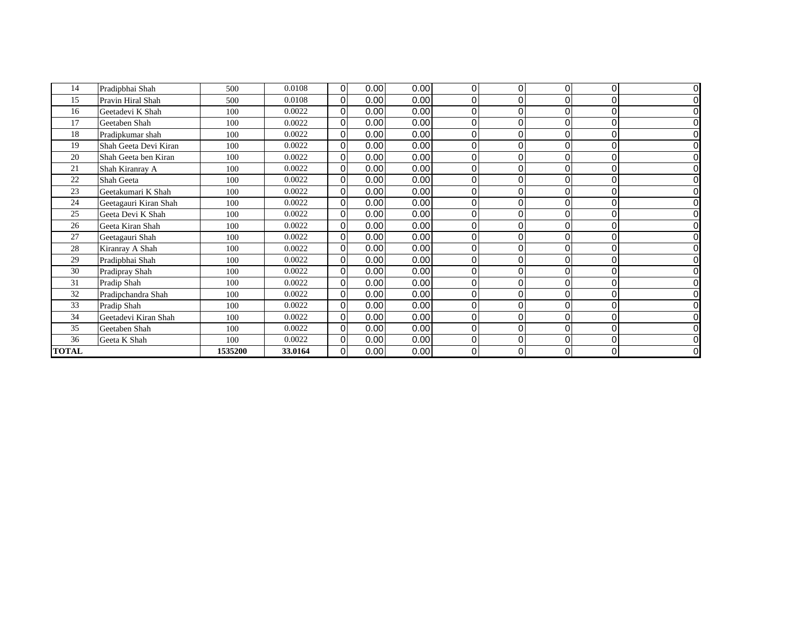| 14           | Pradipbhai Shah       | 500     | 0.0108  | 0           | 0.00 | 0.00 | 0        | 0        | 0 | 0 | $\overline{0}$ |
|--------------|-----------------------|---------|---------|-------------|------|------|----------|----------|---|---|----------------|
| 15           | Pravin Hiral Shah     | 500     | 0.0108  | 0           | 0.00 | 0.00 | 0        | 0        |   | 0 | $\overline{0}$ |
| 16           | Geetadevi K Shah      | 100     | 0.0022  | $\Omega$    | 0.00 | 0.00 | $\Omega$ | 0        |   | O | $\overline{0}$ |
| 17           | Geetaben Shah         | 100     | 0.0022  | $\Omega$    | 0.00 | 0.00 | $\Omega$ | 0        |   | O | $\overline{0}$ |
| 18           | Pradipkumar shah      | 100     | 0.0022  | 0           | 0.00 | 0.00 | 0        | 0        | 0 |   | $\overline{0}$ |
| 19           | Shah Geeta Devi Kiran | 100     | 0.0022  | $\Omega$    | 0.00 | 0.00 | $\Omega$ | 0        | 0 | O | $\overline{0}$ |
| 20           | Shah Geeta ben Kiran  | 100     | 0.0022  | $\Omega$    | 0.00 | 0.00 | $\Omega$ | 0        | 0 | O | $\overline{0}$ |
| 21           | Shah Kiranray A       | 100     | 0.0022  | 0           | 0.00 | 0.00 | 0        | 0        |   |   | $\overline{0}$ |
| 22           | Shah Geeta            | 100     | 0.0022  | 0           | 0.00 | 0.00 | $\Omega$ | 0        |   |   | $\overline{0}$ |
| 23           | Geetakumari K Shah    | 100     | 0.0022  | 0           | 0.00 | 0.00 | $\Omega$ | 0        |   |   | $\overline{0}$ |
| 24           | Geetagauri Kiran Shah | 100     | 0.0022  | 0           | 0.00 | 0.00 | $\Omega$ | 0        |   |   | $\overline{0}$ |
| 25           | Geeta Devi K Shah     | 100     | 0.0022  | 0           | 0.00 | 0.00 | 0        | 0        |   |   | $\overline{0}$ |
| 26           | Geeta Kiran Shah      | 100     | 0.0022  | $\Omega$    | 0.00 | 0.00 | $\Omega$ | 0        |   | C | $\overline{0}$ |
| 27           | Geetagauri Shah       | 100     | 0.0022  | 0           | 0.00 | 0.00 | $\Omega$ | 0        |   |   | $\overline{0}$ |
| 28           | Kiranray A Shah       | 100     | 0.0022  | $\Omega$    | 0.00 | 0.00 | $\Omega$ | 0        |   |   | 0              |
| 29           | Pradipbhai Shah       | 100     | 0.0022  | $\Omega$    | 0.00 | 0.00 | $\Omega$ | 0        |   | C | $\overline{0}$ |
| 30           | Pradipray Shah        | 100     | 0.0022  | $\Omega$    | 0.00 | 0.00 | $\Omega$ | 0        |   |   | 0              |
| 31           | Pradip Shah           | 100     | 0.0022  | $\mathbf 0$ | 0.00 | 0.00 | 0        | 0        | 0 | O | $\overline{0}$ |
| 32           | Pradipchandra Shah    | 100     | 0.0022  | $\Omega$    | 0.00 | 0.00 | $\Omega$ | 0        |   |   | $\overline{0}$ |
| 33           | Pradip Shah           | 100     | 0.0022  | $\mathbf 0$ | 0.00 | 0.00 | 0        | 0        | 0 |   | $\overline{0}$ |
| 34           | Geetadevi Kiran Shah  | 100     | 0.0022  | 0           | 0.00 | 0.00 | $\Omega$ | 0        |   |   | $\overline{0}$ |
| 35           | Geetaben Shah         | 100     | 0.0022  | $\Omega$    | 0.00 | 0.00 | $\Omega$ | $\Omega$ |   |   | $\overline{0}$ |
| 36           | Geeta K Shah          | 100     | 0.0022  | 0           | 0.00 | 0.00 | $\Omega$ | $\Omega$ |   |   | $\overline{0}$ |
| <b>TOTAL</b> |                       | 1535200 | 33.0164 | 0           | 0.00 | 0.00 | 0        | 0        | 0 | 0 | $\overline{0}$ |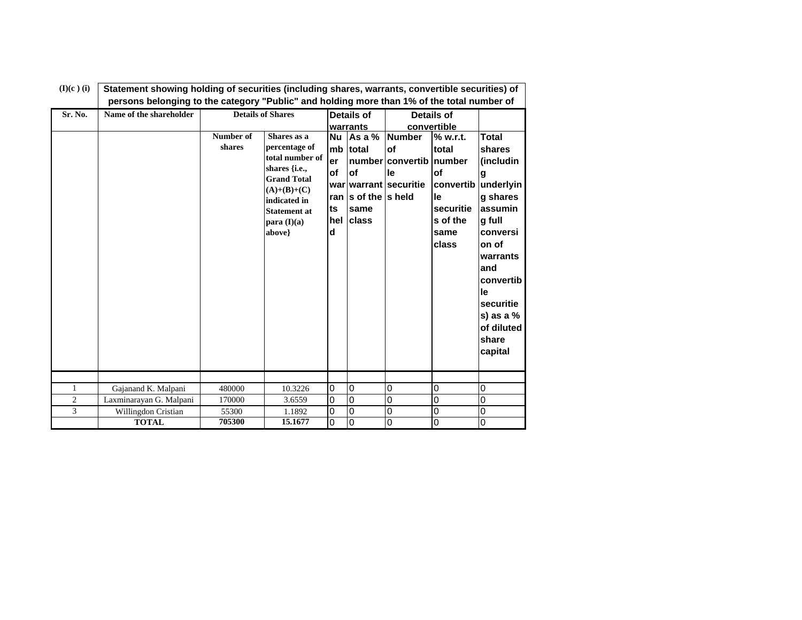| $(I)(c)$ (i)   | Statement showing holding of securities (including shares, warrants, convertible securities) of |                     |                                                                                                                                                                         |                                               |                                                               |                                                                        |                                                                                   |                                                                                                                                                                                                       |  |  |
|----------------|-------------------------------------------------------------------------------------------------|---------------------|-------------------------------------------------------------------------------------------------------------------------------------------------------------------------|-----------------------------------------------|---------------------------------------------------------------|------------------------------------------------------------------------|-----------------------------------------------------------------------------------|-------------------------------------------------------------------------------------------------------------------------------------------------------------------------------------------------------|--|--|
|                | persons belonging to the category "Public" and holding more than 1% of the total number of      |                     |                                                                                                                                                                         |                                               |                                                               |                                                                        |                                                                                   |                                                                                                                                                                                                       |  |  |
| Sr. No.        | Name of the shareholder                                                                         |                     | <b>Details of Shares</b>                                                                                                                                                |                                               | Details of                                                    |                                                                        | <b>Details of</b>                                                                 |                                                                                                                                                                                                       |  |  |
|                |                                                                                                 |                     |                                                                                                                                                                         |                                               | warrants                                                      |                                                                        | convertible                                                                       |                                                                                                                                                                                                       |  |  |
|                |                                                                                                 | Number of<br>shares | Shares as a<br>percentage of<br>total number of<br>shares {i.e.,<br><b>Grand Total</b><br>$(A)+(B)+(C)$<br>indicated in<br><b>Statement at</b><br>para (I)(a)<br>above} | <b>Nu</b><br>mb<br>er<br>of<br>ts<br>hel<br>d | Asa%<br>total<br>of<br>ran Is of the Is held<br>same<br>class | <b>Number</b><br>of<br>number convertib<br>le<br>war warrant securitie | % w.r.t.<br>total<br>number<br>οf<br>le<br>securitie<br>s of the<br>same<br>class | <b>Total</b><br>shares<br>(includin<br>g<br>convertib underlyin<br>g shares<br>assumin<br>g full<br>conversi<br>on of<br>warrants<br>and<br>convertib<br>le<br>securitie<br>s) as a $%$<br>of diluted |  |  |
|                |                                                                                                 |                     |                                                                                                                                                                         |                                               |                                                               |                                                                        |                                                                                   | share<br>capital                                                                                                                                                                                      |  |  |
|                |                                                                                                 |                     |                                                                                                                                                                         |                                               |                                                               |                                                                        |                                                                                   |                                                                                                                                                                                                       |  |  |
| 1              | Gajanand K. Malpani                                                                             | 480000              | 10.3226                                                                                                                                                                 | $\overline{0}$                                | $\overline{0}$                                                | 0                                                                      | $\overline{0}$                                                                    | 0                                                                                                                                                                                                     |  |  |
| $\overline{c}$ | Laxminarayan G. Malpani                                                                         | 170000              | 3.6559                                                                                                                                                                  | 0                                             | 0                                                             | 0                                                                      | 0                                                                                 | 0                                                                                                                                                                                                     |  |  |
| 3              | Willingdon Cristian                                                                             | 55300               | 1.1892                                                                                                                                                                  | $\mathbf 0$                                   | $\Omega$                                                      | 0                                                                      | $\overline{0}$                                                                    | 0                                                                                                                                                                                                     |  |  |
|                | <b>TOTAL</b>                                                                                    | 705300              | 15.1677                                                                                                                                                                 | $\mathbf 0$                                   | 0                                                             | 0                                                                      | 0                                                                                 | $\mathbf 0$                                                                                                                                                                                           |  |  |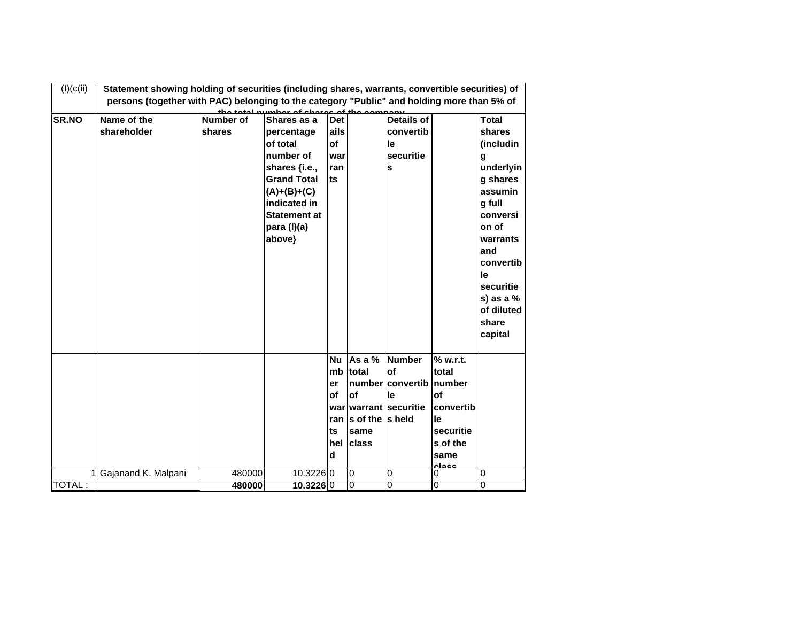| (I)(c(ii))   | Statement showing holding of securities (including shares, warrants, convertible securities) of |                  |                                          |            |                       |                       |               |                 |
|--------------|-------------------------------------------------------------------------------------------------|------------------|------------------------------------------|------------|-----------------------|-----------------------|---------------|-----------------|
|              | persons (together with PAC) belonging to the category "Public" and holding more than 5% of      |                  | the total number of charge of the compan |            |                       |                       |               |                 |
| <b>SR.NO</b> | Name of the                                                                                     | <b>Number of</b> | Shares as a                              | <b>Det</b> |                       | <b>Details of</b>     |               | <b>Total</b>    |
|              | shareholder                                                                                     | shares           | percentage                               | ails       |                       | convertib             |               | shares          |
|              |                                                                                                 |                  | of total                                 | of         |                       | le                    |               | (includin       |
|              |                                                                                                 |                  | number of                                | war        |                       | securitie             |               | g               |
|              |                                                                                                 |                  | shares {i.e.,                            | ran        |                       | S                     |               | underlyin       |
|              |                                                                                                 |                  | <b>Grand Total</b>                       | ts         |                       |                       |               | g shares        |
|              |                                                                                                 |                  | $(A)+(B)+(C)$                            |            |                       |                       |               | assumin         |
|              |                                                                                                 |                  | indicated in                             |            |                       |                       |               | g full          |
|              |                                                                                                 |                  | <b>Statement at</b>                      |            |                       |                       |               | conversi        |
|              |                                                                                                 |                  | para (I)(a)                              |            |                       |                       |               | on of           |
|              |                                                                                                 |                  | above}                                   |            |                       |                       |               | warrants        |
|              |                                                                                                 |                  |                                          |            |                       |                       |               | and             |
|              |                                                                                                 |                  |                                          |            |                       |                       |               | convertib<br>le |
|              |                                                                                                 |                  |                                          |            |                       |                       |               | securitie       |
|              |                                                                                                 |                  |                                          |            |                       |                       |               | s) as a $%$     |
|              |                                                                                                 |                  |                                          |            |                       |                       |               | of diluted      |
|              |                                                                                                 |                  |                                          |            |                       |                       |               | share           |
|              |                                                                                                 |                  |                                          |            |                       |                       |               | capital         |
|              |                                                                                                 |                  |                                          |            |                       |                       |               |                 |
|              |                                                                                                 |                  |                                          | <b>Nu</b>  | As a %                | <b>Number</b>         | % w.r.t.      |                 |
|              |                                                                                                 |                  |                                          | mb         | total                 | of                    | total         |                 |
|              |                                                                                                 |                  |                                          | er         |                       | number convertib      | number        |                 |
|              |                                                                                                 |                  |                                          | of         | of                    | le                    | of            |                 |
|              |                                                                                                 |                  |                                          |            |                       | war warrant securitie | convertib     |                 |
|              |                                                                                                 |                  |                                          |            | ran Is of the Is held |                       | le            |                 |
|              |                                                                                                 |                  |                                          | ts         | same                  |                       | securitie     |                 |
|              |                                                                                                 |                  |                                          | hel        | <b>class</b>          |                       | s of the      |                 |
|              |                                                                                                 |                  |                                          | d          |                       |                       | same<br>ععجاء |                 |
|              | Gajanand K. Malpani                                                                             | 480000           | 10.3226 0                                |            | $\overline{0}$        | 0                     | 0             | 0               |
| TOTAL:       |                                                                                                 | 480000           | 10.3226 0                                |            | $\overline{0}$        | $\overline{0}$        | $\Omega$      | $\mathbf 0$     |